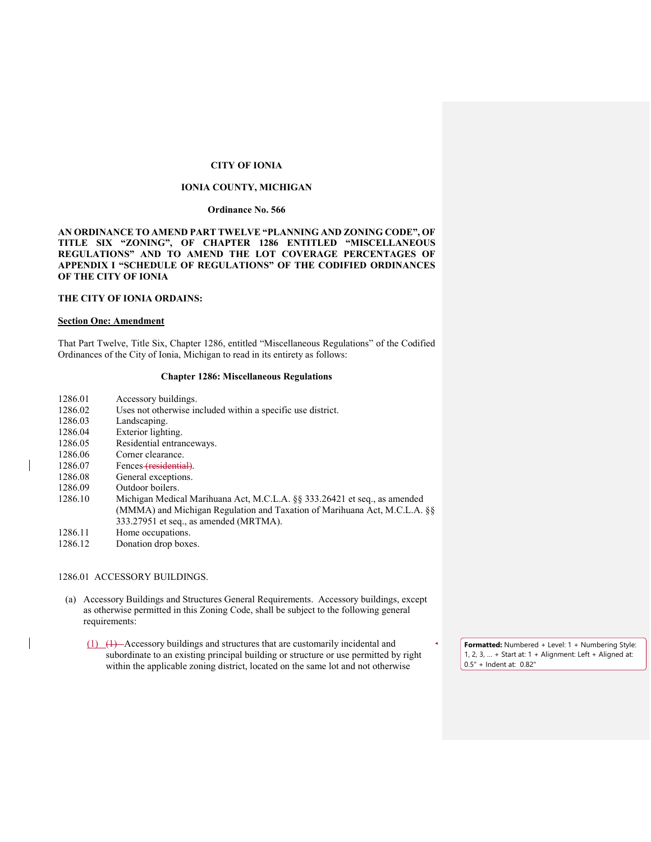# **CITY OF IONIA**

# **IONIA COUNTY, MICHIGAN**

### **Ordinance No. 566**

## **AN ORDINANCE TO AMEND PART TWELVE "PLANNING AND ZONING CODE", OF TITLE SIX "ZONING", OF CHAPTER 1286 ENTITLED "MISCELLANEOUS REGULATIONS" AND TO AMEND THE LOT COVERAGE PERCENTAGES OF APPENDIX I "SCHEDULE OF REGULATIONS" OF THE CODIFIED ORDINANCES OF THE CITY OF IONIA**

# **THE CITY OF IONIA ORDAINS:**

### **Section One: Amendment**

That Part Twelve, Title Six, Chapter 1286, entitled "Miscellaneous Regulations" of the Codified Ordinances of the City of Ionia, Michigan to read in its entirety as follows:

### **Chapter 1286: Miscellaneous Regulations**

- 1286.01 Accessory buildings.<br>1286.02 Uses not otherwise in
- 1286.02 Uses not otherwise included within a specific use district.<br>1286.03 Landscaping.
- Landscaping.
- 1286.04 Exterior lighting.
- 1286.05 Residential entranceways.
- 1286.06 Corner clearance.
- 1286.07 Fences (residential).
- 1286.08 General exceptions.
- 1286.09 Outdoor boilers.
- 1286.10 Michigan Medical Marihuana Act, M.C.L.A. §§ 333.26421 et seq., as amended (MMMA) and Michigan Regulation and Taxation of Marihuana Act, M.C.L.A. §§ 333.27951 et seq., as amended (MRTMA).
- 1286.11 Home occupations.
- 1286.12 Donation drop boxes.

### 1286.01 ACCESSORY BUILDINGS.

- (a) Accessory Buildings and Structures General Requirements. Accessory buildings, except as otherwise permitted in this Zoning Code, shall be subject to the following general requirements:
	- (1) (1) Accessory buildings and structures that are customarily incidental and subordinate to an existing principal building or structure or use permitted by right within the applicable zoning district, located on the same lot and not otherwise

**Formatted:** Numbered + Level: 1 + Numbering Style: 1, 2, 3, … + Start at: 1 + Alignment: Left + Aligned at: 0.5" + Indent at: 0.82"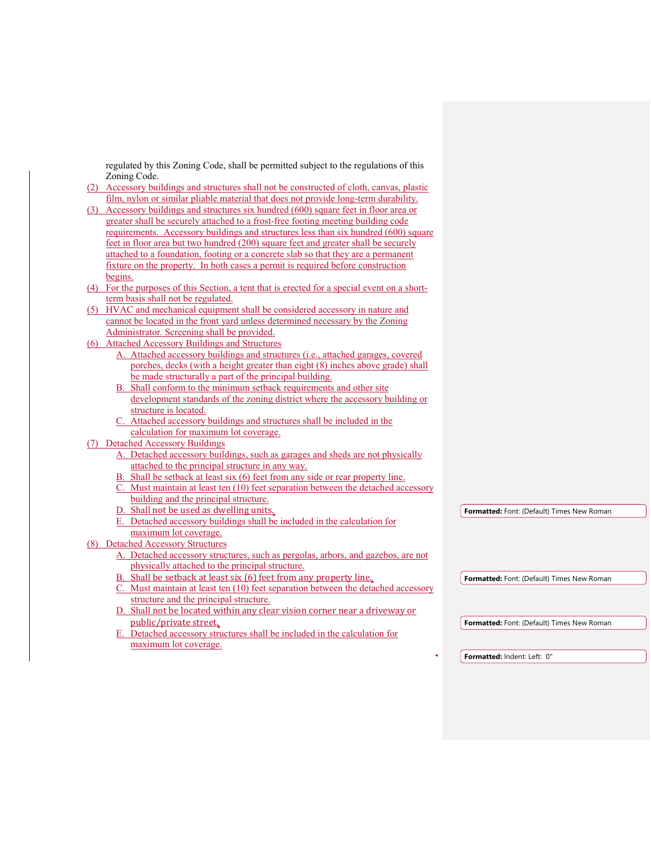regulated by this Zoning Code, shall be permitted subject to the regulations of this Zoning Code.

- (2) Accessory buildings and structures shall not be constructed of cloth, canvas, plastic film, nylon or similar pliable material that does not provide long-term durability.
- (3) Accessory buildings and structures six hundred (600) square feet in floor area or greater shall be securely attached to a frost-free footing meeting building code requirements. Accessory buildings and structures less than six hundred (600) square feet in floor area but two hundred (200) square feet and greater shall be securely attached to a foundation, footing or a concrete slab so that they are a permanent fixture on the property. In both cases a permit is required before construction begins.
- (4) For the purposes of this Section, a tent that is erected for a special event on a shortterm basis shall not be regulated.
- (5) HVAC and mechanical equipment shall be considered accessory in nature and cannot be located in the front yard unless determined necessary by the Zoning Administrator. Screening shall be provided.
- (6) Attached Accessory Buildings and Structures
	- A. Attached accessory buildings and structures (i.e., attached garages, covered porches, decks (with a height greater than eight (8) inches above grade) shall be made structurally a part of the principal building.
	- Shall conform to the minimum setback requirements and other site development standards of the zoning district where the accessory building or structure is located.
	- Attached accessory buildings and structures shall be included in the calculation for maximum lot coverage.
- (7) Detached Accessory Buildings
	- A. Detached accessory buildings, such as garages and sheds are not physically attached to the principal structure in any way.
	- Shall be setback at least six  $(6)$  feet from any side or rear property line.
	- Must maintain at least ten  $(10)$  feet separation between the detached accessory building and the principal structure.
	- D. Shall not be used as dwelling units.
	- E. Detached accessory buildings shall be included in the calculation for maximum lot coverage.

# (8) Detached Accessory Structures

- A. Detached accessory structures, such as pergolas, arbors, and gazebos, are not physically attached to the principal structure.
	- B. Shall be setback at least six (6) feet from any property line.
	- C. Must maintain at least ten (10) feet separation between the detached accessory structure and the principal structure.
	- D. Shall not be located within any clear vision corner near a driveway or public/private street.
	- E. Detached accessory structures shall be included in the calculation for maximum lot coverage.

**Formatted:** Font: (Default) Times New Roman

**Formatted:** Font: (Default) Times New Roman

**Formatted:** Font: (Default) Times New Roman

**Formatted:** Indent: Left: 0"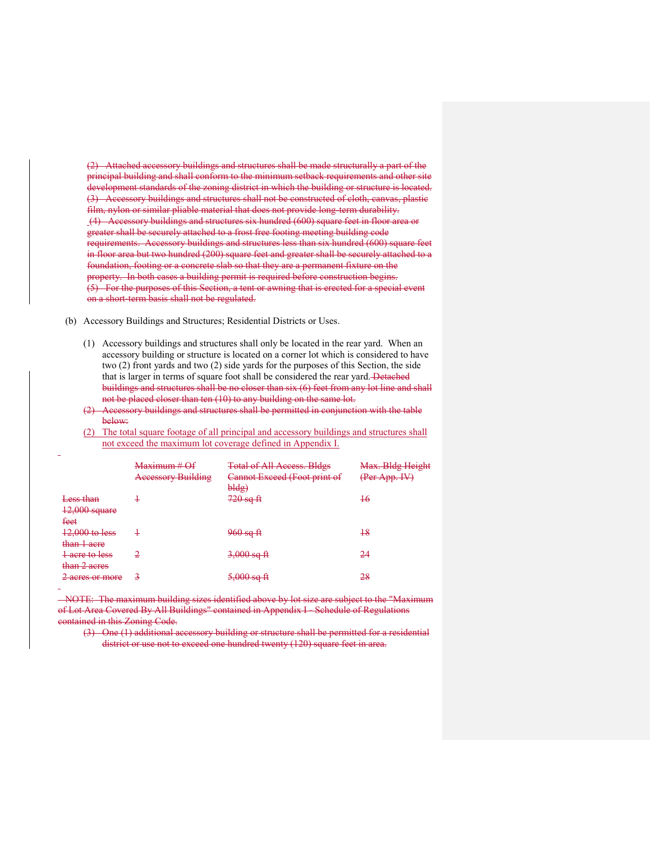(2) Attached accessory buildings and structures shall be made structurally a part of the principal building and shall conform to the minimum setback requirements and other site development standards of the zoning district in which the building or structure is located. (3) Accessory buildings and structures shall not be constructed of cloth, canvas, plastic film, nylon or similar pliable material that does not provide long-term durability. (4) Accessory buildings and structures six hundred (600) square feet in floor area or greater shall be securely attached to a frost free footing meeting building code requirements. Accessory buildings and structures less than six hundred (600) square feet in floor area but two hundred (200) square feet and greater shall be securely attached to a foundation, footing or a concrete slab so that they are a permanent fixture on the property. In both cases a building permit is required before construction begins. (5) For the purposes of this Section, a tent or awning that is erected for a special event on a short-term basis shall not be regulated.

(b) Accessory Buildings and Structures; Residential Districts or Uses.

- (1) Accessory buildings and structures shall only be located in the rear yard. When an accessory building or structure is located on a corner lot which is considered to have two (2) front yards and two (2) side yards for the purposes of this Section, the side that is larger in terms of square foot shall be considered the rear yard. Detached buildings and structures shall be no closer than six (6) feet from any lot line and shall not be placed closer than ten (10) to any building on the same lot.
- (2) Accessory buildings and structures shall be permitted in conjunction with the table below:
- (2) The total square footage of all principal and accessory buildings and structures shall not exceed the maximum lot coverage defined in Appendix I.

| Less than            | Maximum # Of<br><b>Accessory Building</b> | <b>Total of All Access. Bldgs</b><br>Cannot Exceed (Foot print of<br>bldg) | Max. Bldg Height<br>(Per App. IV)<br>$\pm 6$ |
|----------------------|-------------------------------------------|----------------------------------------------------------------------------|----------------------------------------------|
|                      | ÷                                         | <del>720 sq ft</del>                                                       |                                              |
| <b>12,000 square</b> |                                           |                                                                            |                                              |
| feet                 |                                           |                                                                            |                                              |
| 12,000 to less       | ÷                                         | <del>960 sq ft</del>                                                       | 18                                           |
| than 1 acre          |                                           |                                                                            |                                              |
| acre to less         | 2                                         | <del>3,000 sq ft</del>                                                     | 24                                           |
| than 2 acres         |                                           |                                                                            |                                              |
| acres or more        | 3                                         | <del>5,000 sq ft</del>                                                     | 28                                           |
|                      |                                           |                                                                            |                                              |

 NOTE: The maximum building sizes identified above by lot size are subject to the "Maximum of Lot Area Covered By All Buildings" contained in Appendix I - Schedule of Regulations contained in this Zoning Code.

(3) One (1) additional accessory building or structure shall be permitted for a residential district or use not to exceed one hundred twenty (120) square feet in area.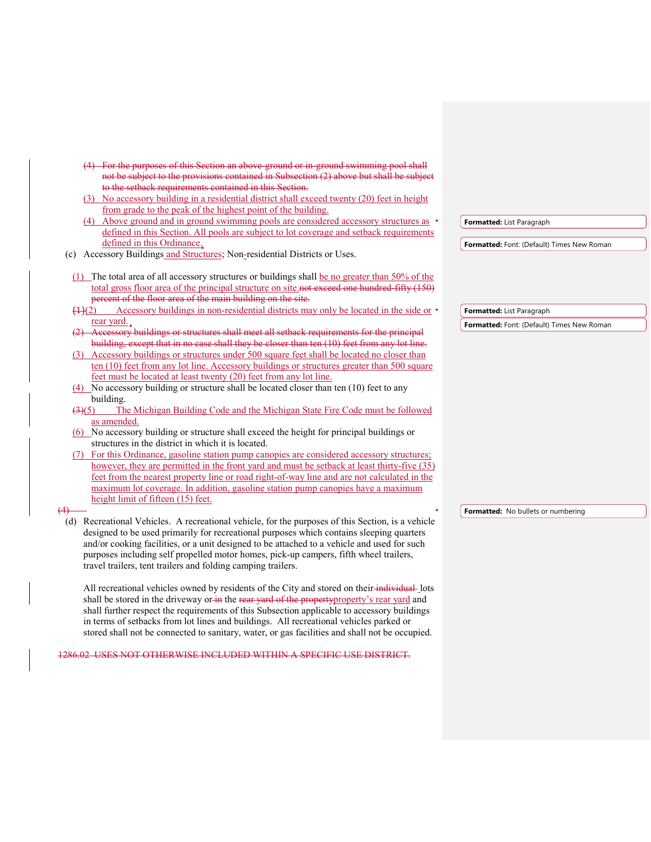(4) For the purposes of this Section an above-ground or in-ground swimming pool shall not be subject to the provisions contained in Subsection (2) above but shall be subject to the setback requirements contained in this Section. (3) No accessory building in a residential district shall exceed twenty (20) feet in height from grade to the peak of the highest point of the building. (4) Above ground and in ground swimming pools are considered accessory structures as defined in this Section. All pools are subject to lot coverage and setback requirements defined in this Ordinance. (c) Accessory Buildings and Structures; Non-residential Districts or Uses. (1) The total area of all accessory structures or buildings shall be no greater than 50% of the total gross floor area of the principal structure on site.<del>not exceed one hundred-fifty (150)</del> percent of the floor area of the main building on the site.  $(1)(2)$  Accessory buildings in non-residential districts may only be located in the side or rear yard. Accessory buildings or structures shall meet all setback requirements for the principal building, except that in no case shall they be closer than ten (10) feet from any lot line. (3) Accessory buildings or structures under 500 square feet shall be located no closer than ten (10) feet from any lot line. Accessory buildings or structures greater than 500 square feet must be located at least twenty (20) feet from any lot line. (4) No accessory building or structure shall be located closer than ten (10) feet to any building. (3)(5) The Michigan Building Code and the Michigan State Fire Code must be followed as amended. (6) No accessory building or structure shall exceed the height for principal buildings or structures in the district in which it is located. (7) For this Ordinance, gasoline station pump canopies are considered accessory structures; however, they are permitted in the front yard and must be setback at least thirty-five (35) feet from the nearest property line or road right-of-way line and are not calculated in the maximum lot coverage. In addition, gasoline station pump canopies have a maximum height limit of fifteen (15) feet. (4) (d) Recreational Vehicles. A recreational vehicle, for the purposes of this Section, is a vehicle designed to be used primarily for recreational purposes which contains sleeping quarters and/or cooking facilities, or a unit designed to be attached to a vehicle and used for such purposes including self propelled motor homes, pick-up campers, fifth wheel trailers, travel trailers, tent trailers and folding camping trailers. All recreational vehicles owned by residents of the City and stored on their-individual-lots shall be stored in the driveway or in the rear yard of the property property's rear yard and shall further respect the requirements of this Subsection applicable to accessory buildings in terms of setbacks from lot lines and buildings. All recreational vehicles parked or stored shall not be connected to sanitary, water, or gas facilities and shall not be occupied. **Formatted:** List Paragraph **Formatted:** Font: (Default) Times New Roman **Formatted:** List Paragraph **Formatted:** Font: (Default) Times New Roman **Formatted:** No bullets or numbering

1286.02 USES NOT OTHERWISE INCLUDED WITHIN A SPECIFIC USE DISTRICT.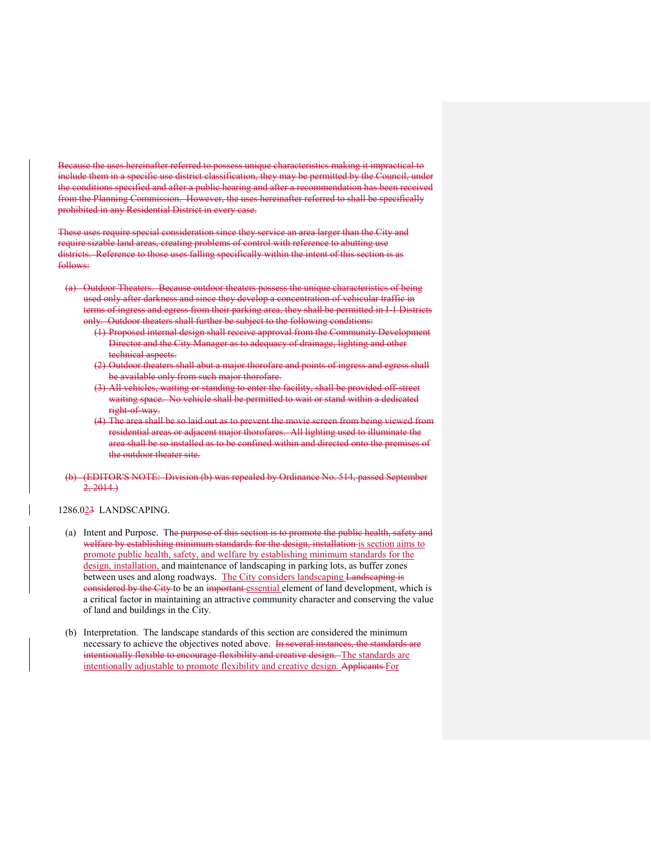Because the uses hereinafter referred to possess unique characteristics making it impractical to include them in a specific use district classification, they may be permitted by the Council, under the conditions specified and after a public hearing and after a recommendation has been received from the Planning Commission. However, the uses hereinafter referred to shall be specifically prohibited in any Residential District in every case.

These uses require special consideration since they service an area larger than the City and require sizable land areas, creating problems of control with reference to abutting use districts. Reference to those uses falling specifically within the intent of this section is as follows:

- (a) Outdoor Theaters. Because outdoor theaters possess the unique characteristics of being used only after darkness and since they develop a concentration of vehicular traffic in terms of ingress and egress from their parking area, they shall be permitted in I-1 Districts only. Outdoor theaters shall further be subject to the following conditions:
	- (1) Proposed internal design shall receive approval from the Community Development Director and the City Manager as to adequacy of drainage, lighting and other technical aspects.
	- (2) Outdoor theaters shall abut a major thorofare and points of ingress and egress shall be available only from such major thorofare.
	- (3) All vehicles, waiting or standing to enter the facility, shall be provided off-street waiting space. No vehicle shall be permitted to wait or stand within a dedicated right-of-way.
	- (4) The area shall be so laid out as to prevent the movie screen from being viewed from residential areas or adjacent major thorofares. All lighting used to illuminate the area shall be so installed as to be confined within and directed onto the premises of the outdoor theater site.
- (b) (EDITOR'S NOTE: Division (b) was repealed by Ordinance No. 514, passed September  $2, 2014.$

#### 1286.023 LANDSCAPING.

- (a) Intent and Purpose. The purpose of this section is to promote the public health, safety and welfare by establishing minimum standards for the design, installation is section aims to promote public health, safety, and welfare by establishing minimum standards for the design, installation, and maintenance of landscaping in parking lots, as buffer zones between uses and along roadways. The City considers landscaping Landscaping is considered by the City to be an important essential element of land development, which is a critical factor in maintaining an attractive community character and conserving the value of land and buildings in the City.
- (b) Interpretation. The landscape standards of this section are considered the minimum necessary to achieve the objectives noted above. In several instances, the standards are intentionally flexible to encourage flexibility and creative design. The standards are intentionally adjustable to promote flexibility and creative design. Applicants For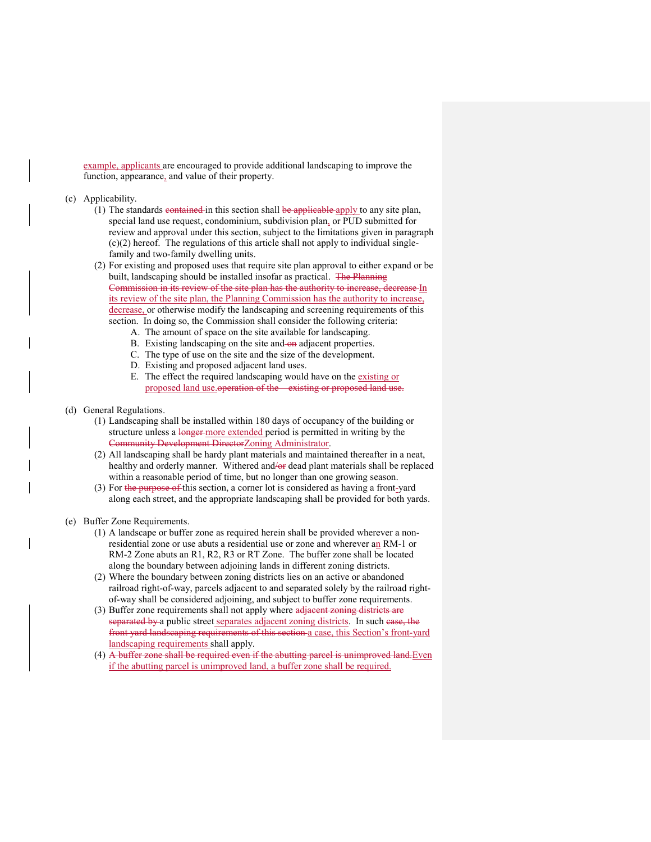example, applicants are encouraged to provide additional landscaping to improve the function, appearance, and value of their property.

- (c) Applicability.
	- $(1)$  The standards contained in this section shall be applicable apply to any site plan, special land use request, condominium, subdivision plan, or PUD submitted for review and approval under this section, subject to the limitations given in paragraph (c)(2) hereof. The regulations of this article shall not apply to individual singlefamily and two-family dwelling units.
	- (2) For existing and proposed uses that require site plan approval to either expand or be built, landscaping should be installed insofar as practical. The Planning Commission in its review of the site plan has the authority to increase, decrease In its review of the site plan, the Planning Commission has the authority to increase, decrease, or otherwise modify the landscaping and screening requirements of this section. In doing so, the Commission shall consider the following criteria:
		- A. The amount of space on the site available for landscaping.
		- B. Existing landscaping on the site and on adjacent properties.
		- C. The type of use on the site and the size of the development.
		- D. Existing and proposed adjacent land uses.
		- E. The effect the required landscaping would have on the existing or proposed land use.operation of the existing or proposed land use.
- (d) General Regulations.
	- (1) Landscaping shall be installed within 180 days of occupancy of the building or structure unless a longer-more extended period is permitted in writing by the Community Development DirectorZoning Administrator.
	- (2) All landscaping shall be hardy plant materials and maintained thereafter in a neat, healthy and orderly manner. Withered and/or dead plant materials shall be replaced within a reasonable period of time, but no longer than one growing season.
	- (3) For the purpose of this section, a corner lot is considered as having a front-yard along each street, and the appropriate landscaping shall be provided for both yards.
- (e) Buffer Zone Requirements.
	- (1) A landscape or buffer zone as required herein shall be provided wherever a nonresidential zone or use abuts a residential use or zone and wherever an RM-1 or RM-2 Zone abuts an R1, R2, R3 or RT Zone. The buffer zone shall be located along the boundary between adjoining lands in different zoning districts.
	- (2) Where the boundary between zoning districts lies on an active or abandoned railroad right-of-way, parcels adjacent to and separated solely by the railroad rightof-way shall be considered adjoining, and subject to buffer zone requirements.
	- (3) Buffer zone requirements shall not apply where adjacent zoning districts are separated by a public street separates adjacent zoning districts. In such ease, the front yard landscaping requirements of this section a case, this Section's front-yard landscaping requirements shall apply.
	- $(4)$  A buffer zone shall be required even if the abutting parcel is unimproved land. Even if the abutting parcel is unimproved land, a buffer zone shall be required.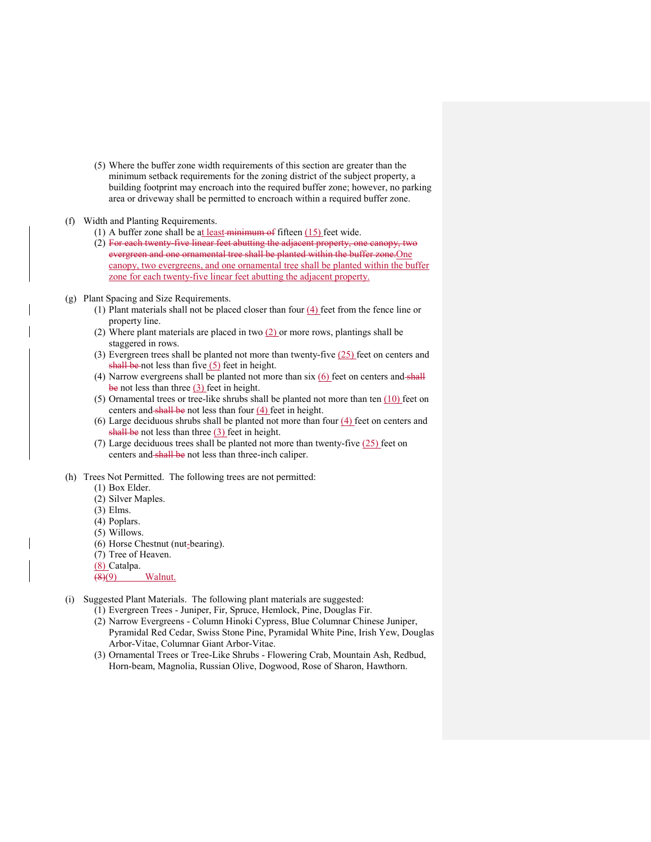(5) Where the buffer zone width requirements of this section are greater than the minimum setback requirements for the zoning district of the subject property, a building footprint may encroach into the required buffer zone; however, no parking area or driveway shall be permitted to encroach within a required buffer zone.

### (f) Width and Planting Requirements.

- (1) A buffer zone shall be at least minimum of fifteen  $(15)$  feet wide.
- (2) For each twenty-five linear feet abutting the adjacent property, one canopy, two evergreen and one ornamental tree shall be planted within the buffer zone. One canopy, two evergreens, and one ornamental tree shall be planted within the buffer zone for each twenty-five linear feet abutting the adjacent property.
- (g) Plant Spacing and Size Requirements.
	- (1) Plant materials shall not be placed closer than four  $(4)$  feet from the fence line or property line.
	- (2) Where plant materials are placed in two  $(2)$  or more rows, plantings shall be staggered in rows.
	- (3) Evergreen trees shall be planted not more than twenty-five (25) feet on centers and shall be not less than five  $(5)$  feet in height.
	- (4) Narrow evergreens shall be planted not more than  $six(6)$  feet on centers and shall be not less than three (3) feet in height.
	- (5) Ornamental trees or tree-like shrubs shall be planted not more than ten (10) feet on centers and shall be not less than four  $(4)$  feet in height.
	- (6) Large deciduous shrubs shall be planted not more than four (4) feet on centers and shall be not less than three (3) feet in height.
	- (7) Large deciduous trees shall be planted not more than twenty-five (25) feet on centers and shall be not less than three-inch caliper.
- (h) Trees Not Permitted. The following trees are not permitted:
	- (1) Box Elder.
	- (2) Silver Maples.
	- (3) Elms.
	- (4) Poplars.
	- (5) Willows.
	- (6) Horse Chestnut (nut-bearing).
	- (7) Tree of Heaven.
	- (8) Catalpa.
	- $\left(\frac{8}{9}\right)$  Walnut.
- (i) Suggested Plant Materials. The following plant materials are suggested:
	- (1) Evergreen Trees Juniper, Fir, Spruce, Hemlock, Pine, Douglas Fir.
	- (2) Narrow Evergreens Column Hinoki Cypress, Blue Columnar Chinese Juniper, Pyramidal Red Cedar, Swiss Stone Pine, Pyramidal White Pine, Irish Yew, Douglas Arbor-Vitae, Columnar Giant Arbor-Vitae.
	- (3) Ornamental Trees or Tree-Like Shrubs Flowering Crab, Mountain Ash, Redbud, Horn-beam, Magnolia, Russian Olive, Dogwood, Rose of Sharon, Hawthorn.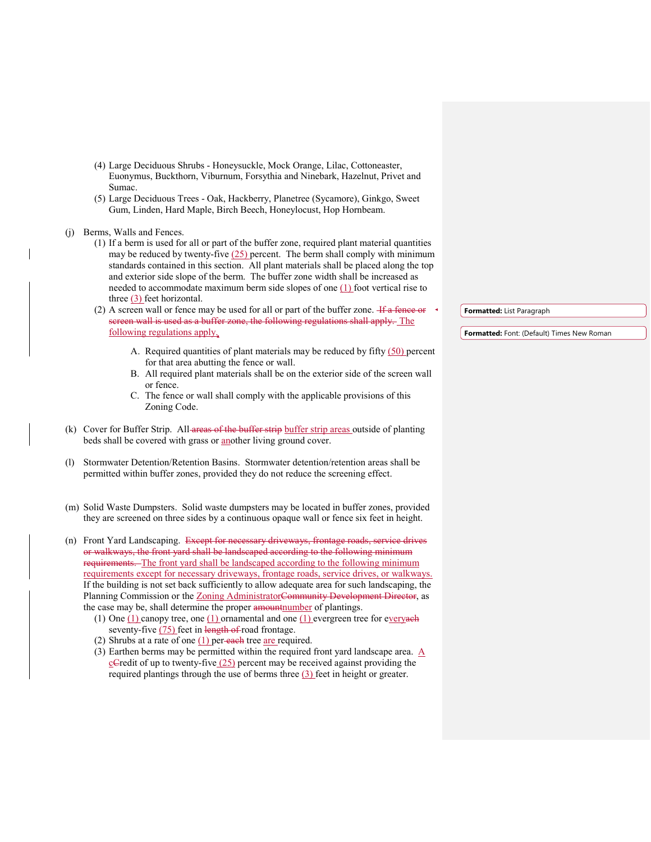- (4) Large Deciduous Shrubs Honeysuckle, Mock Orange, Lilac, Cottoneaster, Euonymus, Buckthorn, Viburnum, Forsythia and Ninebark, Hazelnut, Privet and Sumac.
- (5) Large Deciduous Trees Oak, Hackberry, Planetree (Sycamore), Ginkgo, Sweet Gum, Linden, Hard Maple, Birch Beech, Honeylocust, Hop Hornbeam.

(j) Berms, Walls and Fences.

- (1) If a berm is used for all or part of the buffer zone, required plant material quantities may be reduced by twenty-five  $(25)$  percent. The berm shall comply with minimum standards contained in this section. All plant materials shall be placed along the top and exterior side slope of the berm. The buffer zone width shall be increased as needed to accommodate maximum berm side slopes of one (1) foot vertical rise to three (3) feet horizontal.
- (2) A screen wall or fence may be used for all or part of the buffer zone.  $\frac{1}{16}$  a fence or screen wall is used as a buffer zone, the following regulations shall apply. The following regulations apply.
	- A. Required quantities of plant materials may be reduced by fifty  $(50)$  percent for that area abutting the fence or wall.
	- B. All required plant materials shall be on the exterior side of the screen wall or fence.
	- C. The fence or wall shall comply with the applicable provisions of this Zoning Code.
- (k) Cover for Buffer Strip. All areas of the buffer strip buffer strip areas outside of planting beds shall be covered with grass or another living ground cover.
- (l) Stormwater Detention/Retention Basins. Stormwater detention/retention areas shall be permitted within buffer zones, provided they do not reduce the screening effect.
- (m) Solid Waste Dumpsters. Solid waste dumpsters may be located in buffer zones, provided they are screened on three sides by a continuous opaque wall or fence six feet in height.
- (n) Front Yard Landscaping. Except for necessary driveways, frontage roads, service drives or walkways, the front yard shall be landscaped according to the following minimum requirements. The front yard shall be landscaped according to the following minimum requirements except for necessary driveways, frontage roads, service drives, or walkways. If the building is not set back sufficiently to allow adequate area for such landscaping, the Planning Commission or the Zoning AdministratorCommunity Development Director, as the case may be, shall determine the proper amountnumber of plantings.
	- (1) One  $(1)$  canopy tree, one  $(1)$  ornamental and one  $(1)$  evergreen tree for everyach seventy-five  $(75)$  feet in length of road frontage.
	- (2) Shrubs at a rate of one  $(1)$  per-each tree are required.
	- (3) Earthen berms may be permitted within the required front yard landscape area. A cCredit of up to twenty-five  $(25)$  percent may be received against providing the required plantings through the use of berms three (3) feet in height or greater.

**Formatted:** List Paragraph

**Formatted:** Font: (Default) Times New Roman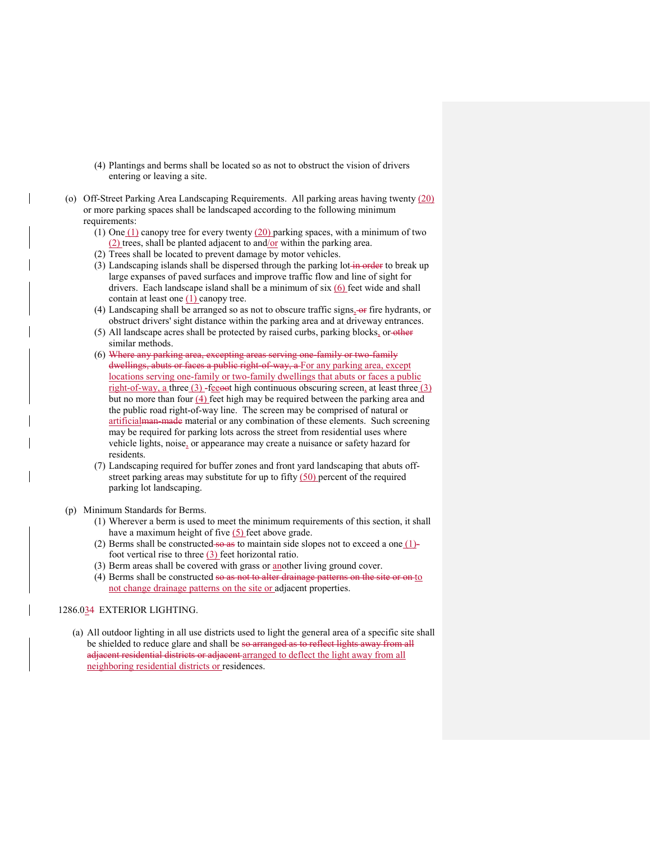- (4) Plantings and berms shall be located so as not to obstruct the vision of drivers entering or leaving a site.
- (o) Off-Street Parking Area Landscaping Requirements. All parking areas having twenty (20) or more parking spaces shall be landscaped according to the following minimum requirements:
	- (1) One  $(1)$  canopy tree for every twenty  $(20)$  parking spaces, with a minimum of two (2) trees, shall be planted adjacent to and/or within the parking area.
	- (2) Trees shall be located to prevent damage by motor vehicles.
	- (3) Landscaping islands shall be dispersed through the parking lot-in-order to break up large expanses of paved surfaces and improve traffic flow and line of sight for drivers. Each landscape island shall be a minimum of six (6) feet wide and shall contain at least one  $(1)$  canopy tree.
	- (4) Landscaping shall be arranged so as not to obscure traffic signs $_2$ -or fire hydrants, or obstruct drivers' sight distance within the parking area and at driveway entrances.
	- (5) All landscape acres shall be protected by raised curbs, parking blocks, or other similar methods.
	- (6) Where any parking area, excepting areas serving one-family or two-family dwellings, abuts or faces a public right-of-way, a For any parking area, except locations serving one-family or two-family dwellings that abuts or faces a public right-of-way, a three  $(3)$ -feeoot high continuous obscuring screen, at least three  $(3)$ but no more than four (4) feet high may be required between the parking area and the public road right-of-way line. The screen may be comprised of natural or artificialman-made material or any combination of these elements. Such screening may be required for parking lots across the street from residential uses where vehicle lights, noise, or appearance may create a nuisance or safety hazard for residents.
	- (7) Landscaping required for buffer zones and front yard landscaping that abuts offstreet parking areas may substitute for up to fifty  $(50)$  percent of the required parking lot landscaping.
- (p) Minimum Standards for Berms.
	- (1) Wherever a berm is used to meet the minimum requirements of this section, it shall have a maximum height of five  $(5)$  feet above grade.
	- (2) Berms shall be constructed so as to maintain side slopes not to exceed a one  $(1)$ foot vertical rise to three  $(3)$  feet horizontal ratio.
	- (3) Berm areas shall be covered with grass or another living ground cover.
	- (4) Berms shall be constructed so as not to alter drainage patterns on the site or on to not change drainage patterns on the site or adjacent properties.

# 1286.034 EXTERIOR LIGHTING.

(a) All outdoor lighting in all use districts used to light the general area of a specific site shall be shielded to reduce glare and shall be so arranged as to reflect lights away from all adjacent residential districts or adjacent arranged to deflect the light away from all neighboring residential districts or residences.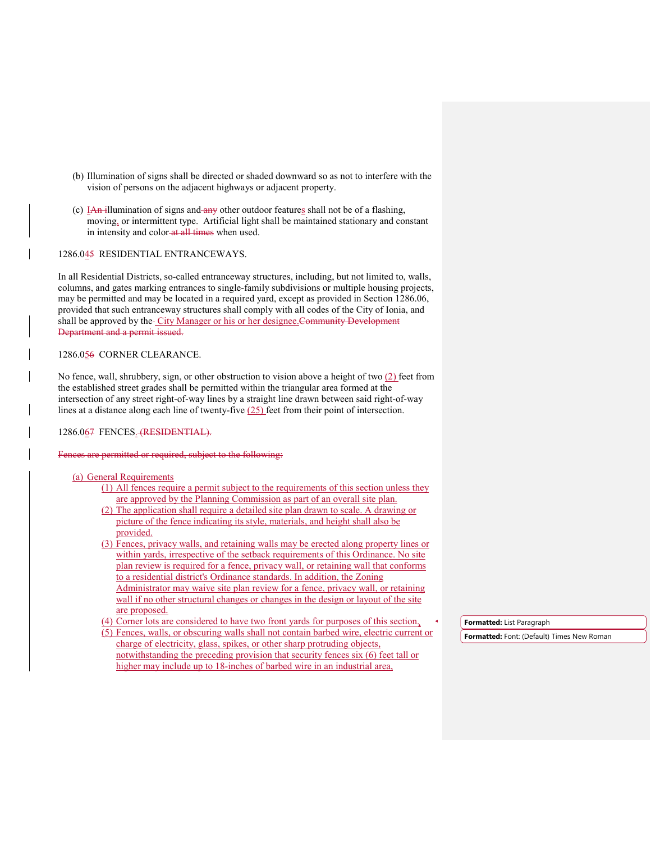- (b) Illumination of signs shall be directed or shaded downward so as not to interfere with the vision of persons on the adjacent highways or adjacent property.
- (c)  $I$ An illumination of signs and any other outdoor features shall not be of a flashing, moving, or intermittent type. Artificial light shall be maintained stationary and constant in intensity and color-at all times when used.

1286.045 RESIDENTIAL ENTRANCEWAYS.

In all Residential Districts, so-called entranceway structures, including, but not limited to, walls, columns, and gates marking entrances to single-family subdivisions or multiple housing projects, may be permitted and may be located in a required yard, except as provided in Section 1286.06, provided that such entranceway structures shall comply with all codes of the City of Ionia, and shall be approved by the-City Manager or his or her designee. Community Development Department and a permit issued.

# 1286.056 CORNER CLEARANCE.

No fence, wall, shrubbery, sign, or other obstruction to vision above a height of two (2) feet from the established street grades shall be permitted within the triangular area formed at the intersection of any street right-of-way lines by a straight line drawn between said right-of-way lines at a distance along each line of twenty-five  $(25)$  feet from their point of intersection.

#### 1286.067 FENCES. (RESIDENTIAL).

Fences are permitted or required, subject to the following:

### (a) General Requirements

- (1) All fences require a permit subject to the requirements of this section unless they are approved by the Planning Commission as part of an overall site plan.
- (2) The application shall require a detailed site plan drawn to scale. A drawing or picture of the fence indicating its style, materials, and height shall also be provided.
- (3) Fences, privacy walls, and retaining walls may be erected along property lines or within yards, irrespective of the setback requirements of this Ordinance. No site plan review is required for a fence, privacy wall, or retaining wall that conforms to a residential district's Ordinance standards. In addition, the Zoning Administrator may waive site plan review for a fence, privacy wall, or retaining wall if no other structural changes or changes in the design or layout of the site are proposed.
- (4) Corner lots are considered to have two front yards for purposes of this section.
- (5) Fences, walls, or obscuring walls shall not contain barbed wire, electric current or charge of electricity, glass, spikes, or other sharp protruding objects, notwithstanding the preceding provision that security fences six (6) feet tall or higher may include up to 18-inches of barbed wire in an industrial area,

**Formatted:** List Paragraph

**Formatted:** Font: (Default) Times New Roman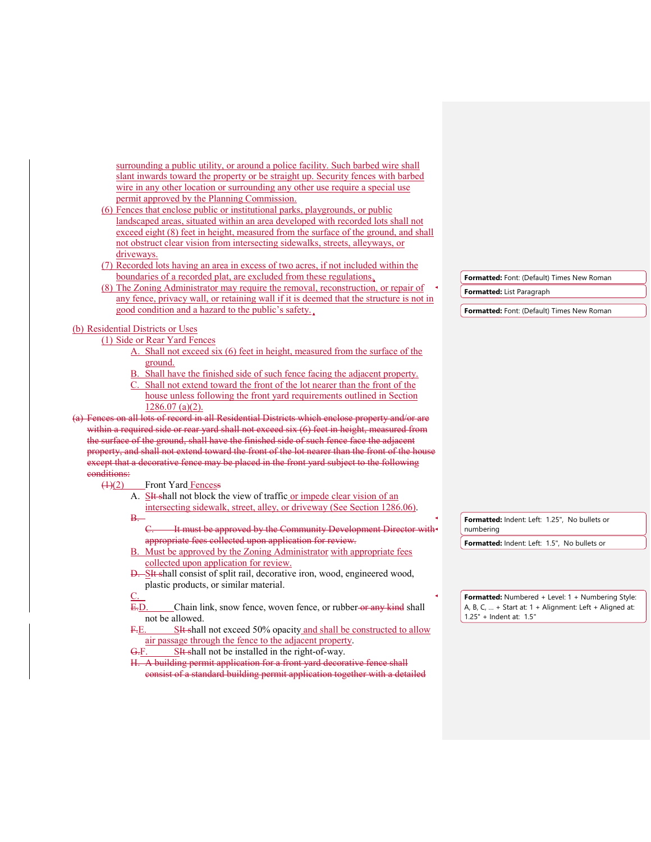| surrounding a public utility, or around a police facility. Such barbed wire shall                                                                      |                                                                                      |
|--------------------------------------------------------------------------------------------------------------------------------------------------------|--------------------------------------------------------------------------------------|
| slant inwards toward the property or be straight up. Security fences with barbed                                                                       |                                                                                      |
| wire in any other location or surrounding any other use require a special use                                                                          |                                                                                      |
| permit approved by the Planning Commission.                                                                                                            |                                                                                      |
| (6) Fences that enclose public or institutional parks, playgrounds, or public                                                                          |                                                                                      |
| landscaped areas, situated within an area developed with recorded lots shall not                                                                       |                                                                                      |
| exceed eight (8) feet in height, measured from the surface of the ground, and shall                                                                    |                                                                                      |
| not obstruct clear vision from intersecting sidewalks, streets, alleyways, or                                                                          |                                                                                      |
| driveways.                                                                                                                                             |                                                                                      |
| (7) Recorded lots having an area in excess of two acres, if not included within the                                                                    |                                                                                      |
| boundaries of a recorded plat, are excluded from these regulations,                                                                                    | Formatted: Font: (Default) Times New Roman                                           |
| (8) The Zoning Administrator may require the removal, reconstruction, or repair of                                                                     | <b>Formatted:</b> List Paragraph                                                     |
| any fence, privacy wall, or retaining wall if it is deemed that the structure is not in                                                                |                                                                                      |
| good condition and a hazard to the public's safety.                                                                                                    | Formatted: Font: (Default) Times New Roman                                           |
| (b) Residential Districts or Uses                                                                                                                      |                                                                                      |
| (1) Side or Rear Yard Fences                                                                                                                           |                                                                                      |
| A. Shall not exceed six (6) feet in height, measured from the surface of the                                                                           |                                                                                      |
| ground.                                                                                                                                                |                                                                                      |
| B. Shall have the finished side of such fence facing the adjacent property.                                                                            |                                                                                      |
| C. Shall not extend toward the front of the lot nearer than the front of the                                                                           |                                                                                      |
| house unless following the front yard requirements outlined in Section                                                                                 |                                                                                      |
| $1286.07$ (a)(2).                                                                                                                                      |                                                                                      |
| (a) Fences on all lots of record in all Residential Districts which enclose property and/or are                                                        |                                                                                      |
|                                                                                                                                                        |                                                                                      |
| within a required side or rear yard shall not exceed six (6) feet in height, measured from                                                             |                                                                                      |
| the surface of the ground, shall have the finished side of such fence face the adjacent                                                                |                                                                                      |
| property, and shall not extend toward the front of the lot nearer than the front of the house                                                          |                                                                                      |
| except that a decorative fence may be placed in the front yard subject to the following                                                                |                                                                                      |
| eonditions:                                                                                                                                            |                                                                                      |
| $\left(\frac{4}{2}\right)$<br><b>Front Yard Fencess</b>                                                                                                |                                                                                      |
| A. Sit shall not block the view of traffic or impede clear vision of an                                                                                |                                                                                      |
| intersecting sidewalk, street, alley, or driveway (See Section 1286.06).                                                                               |                                                                                      |
| $B -$                                                                                                                                                  | Formatted: Indent: Left: 1.25", No bullets or                                        |
| It must be approved by the Community Development Director with                                                                                         | numbering                                                                            |
| appropriate fees collected upon application for review.                                                                                                | Formatted: Indent: Left: 1.5", No bullets or                                         |
| B. Must be approved by the Zoning Administrator with appropriate fees                                                                                  |                                                                                      |
| collected upon application for review.                                                                                                                 |                                                                                      |
| D. SIt shall consist of split rail, decorative iron, wood, engineered wood,                                                                            |                                                                                      |
| plastic products, or similar material.                                                                                                                 |                                                                                      |
| <u>C.</u>                                                                                                                                              | Formatted: Numbered + Level: 1 + Numbering Style:                                    |
| E.D<br>Chain link, snow fence, woven fence, or rubber-or any kind shall                                                                                | A, B, C,  + Start at: $1 +$ Alignment: Left + Aligned at:<br>1.25" + Indent at: 1.5" |
| not be allowed.<br>F.E.                                                                                                                                |                                                                                      |
| SH shall not exceed 50% opacity and shall be constructed to allow                                                                                      |                                                                                      |
| air passage through the fence to the adjacent property.<br><del>G.</del> F.                                                                            |                                                                                      |
| SIt shall not be installed in the right-of-way.                                                                                                        |                                                                                      |
| H. A building permit application for a front yard decorative fence shall<br>consist of a standard building permit application together with a detailed |                                                                                      |
|                                                                                                                                                        |                                                                                      |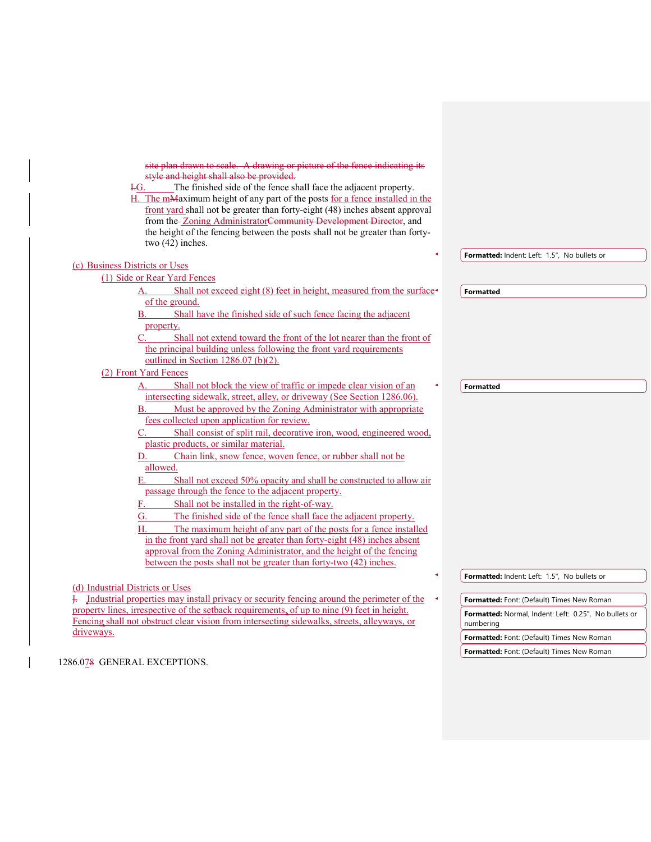site plan drawn to scale. A drawing or picture of the fence indicating its style and height shall also be provided.

I.G. The finished side of the fence shall face the adjacent property.

H. The mMaximum height of any part of the posts for a fence installed in the front yard shall not be greater than forty-eight (48) inches absent approval from the Zoning AdministratorCommunity Development Director, and the height of the fencing between the posts shall not be greater than fortytwo (42) inches.

|                                                                                                           | Formatted: Indent: Left: 1.5", No bullets or          |
|-----------------------------------------------------------------------------------------------------------|-------------------------------------------------------|
| (c) Business Districts or Uses                                                                            |                                                       |
| (1) Side or Rear Yard Fences                                                                              |                                                       |
| Shall not exceed eight (8) feet in height, measured from the surface<br>A.                                | <b>Formatted</b>                                      |
| of the ground.                                                                                            |                                                       |
| Shall have the finished side of such fence facing the adjacent<br>$\mathbf{B}$ .                          |                                                       |
| property.                                                                                                 |                                                       |
| Shall not extend toward the front of the lot nearer than the front of<br>C.                               |                                                       |
| the principal building unless following the front yard requirements                                       |                                                       |
| outlined in Section $1286.07$ (b)(2).                                                                     |                                                       |
| (2) Front Yard Fences                                                                                     |                                                       |
| Shall not block the view of traffic or impede clear vision of an<br>А.                                    | <b>Formatted</b>                                      |
| intersecting sidewalk, street, alley, or driveway (See Section 1286.06).                                  |                                                       |
| Must be approved by the Zoning Administrator with appropriate<br>В.                                       |                                                       |
| fees collected upon application for review.                                                               |                                                       |
| Shall consist of split rail, decorative iron, wood, engineered wood,                                      |                                                       |
| plastic products, or similar material.                                                                    |                                                       |
| Chain link, snow fence, woven fence, or rubber shall not be<br>D.                                         |                                                       |
| allowed.                                                                                                  |                                                       |
| Shall not exceed 50% opacity and shall be constructed to allow air<br>Е.                                  |                                                       |
| passage through the fence to the adjacent property.                                                       |                                                       |
| Shall not be installed in the right-of-way.<br>F.                                                         |                                                       |
| The finished side of the fence shall face the adjacent property.<br>G.                                    |                                                       |
| The maximum height of any part of the posts for a fence installed<br>Н.                                   |                                                       |
| in the front yard shall not be greater than forty-eight (48) inches absent                                |                                                       |
| approval from the Zoning Administrator, and the height of the fencing                                     |                                                       |
| between the posts shall not be greater than forty-two (42) inches.                                        |                                                       |
|                                                                                                           | Formatted: Indent: Left: 1.5", No bullets or          |
| (d) Industrial Districts or Uses                                                                          |                                                       |
| $\frac{1}{2}$ . Industrial properties may install privacy or security fencing around the perimeter of the | Formatted: Font: (Default) Times New Roman            |
| property lines, irrespective of the setback requirements, of up to nine (9) feet in height.               | Formatted: Normal, Indent: Left: 0.25", No bullets or |
| Fencing shall not obstruct clear vision from intersecting sidewalks, streets, alleyways, or               | numbering                                             |
| driveways.                                                                                                | Equippletode Contr (Default) Times Now Roman          |

1286.078 GENERAL EXCEPTIONS.

**Formatted:** Font: (Default) Times New Roman

**Formatted:** Font: (Default) Times New Roman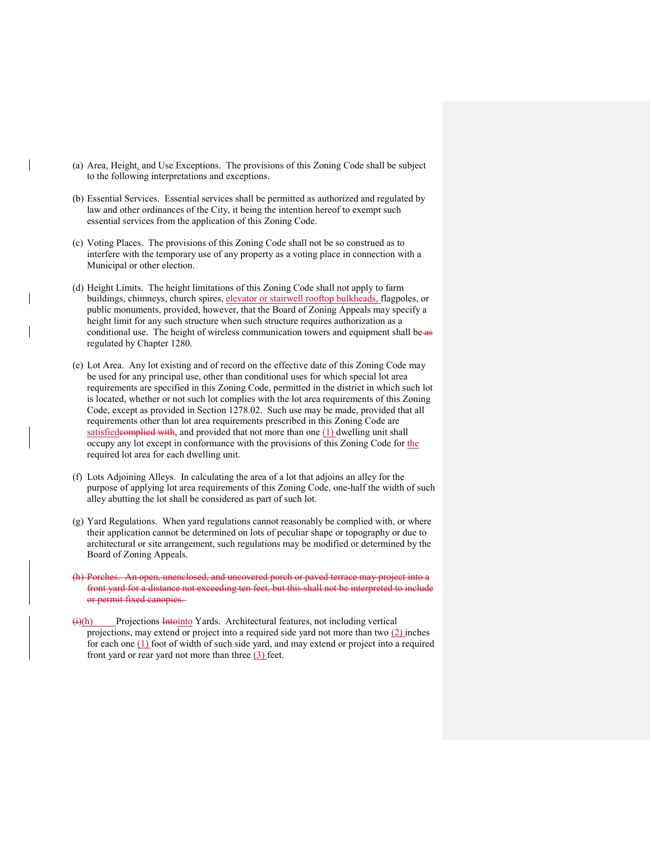- (a) Area, Height, and Use Exceptions. The provisions of this Zoning Code shall be subject to the following interpretations and exceptions.
- (b) Essential Services. Essential services shall be permitted as authorized and regulated by law and other ordinances of the City, it being the intention hereof to exempt such essential services from the application of this Zoning Code.
- (c) Voting Places. The provisions of this Zoning Code shall not be so construed as to interfere with the temporary use of any property as a voting place in connection with a Municipal or other election.
- (d) Height Limits. The height limitations of this Zoning Code shall not apply to farm buildings, chimneys, church spires, elevator or stairwell rooftop bulkheads, flagpoles, or public monuments, provided, however, that the Board of Zoning Appeals may specify a height limit for any such structure when such structure requires authorization as a conditional use. The height of wireless communication towers and equipment shall be as regulated by Chapter 1280.
- (e) Lot Area. Any lot existing and of record on the effective date of this Zoning Code may be used for any principal use, other than conditional uses for which special lot area requirements are specified in this Zoning Code, permitted in the district in which such lot is located, whether or not such lot complies with the lot area requirements of this Zoning Code, except as provided in Section 1278.02. Such use may be made, provided that all requirements other than lot area requirements prescribed in this Zoning Code are satisfiedcomplied with, and provided that not more than one  $(1)$  dwelling unit shall occupy any lot except in conformance with the provisions of this Zoning Code for the required lot area for each dwelling unit.
- (f) Lots Adjoining Alleys. In calculating the area of a lot that adjoins an alley for the purpose of applying lot area requirements of this Zoning Code, one-half the width of such alley abutting the lot shall be considered as part of such lot.
- (g) Yard Regulations. When yard regulations cannot reasonably be complied with, or where their application cannot be determined on lots of peculiar shape or topography or due to architectural or site arrangement, such regulations may be modified or determined by the Board of Zoning Appeals.
- (h) Porches. An open, unenclosed, and uncovered porch or paved terrace may project into a front yard for a distance not exceeding ten feet, but this shall not be interpreted to include or permit fixed canopies.
- $(h)(h)$  Projections Intointo Yards. Architectural features, not including vertical projections, may extend or project into a required side yard not more than two (2) inches for each one (1) foot of width of such side yard, and may extend or project into a required front yard or rear yard not more than three  $(3)$  feet.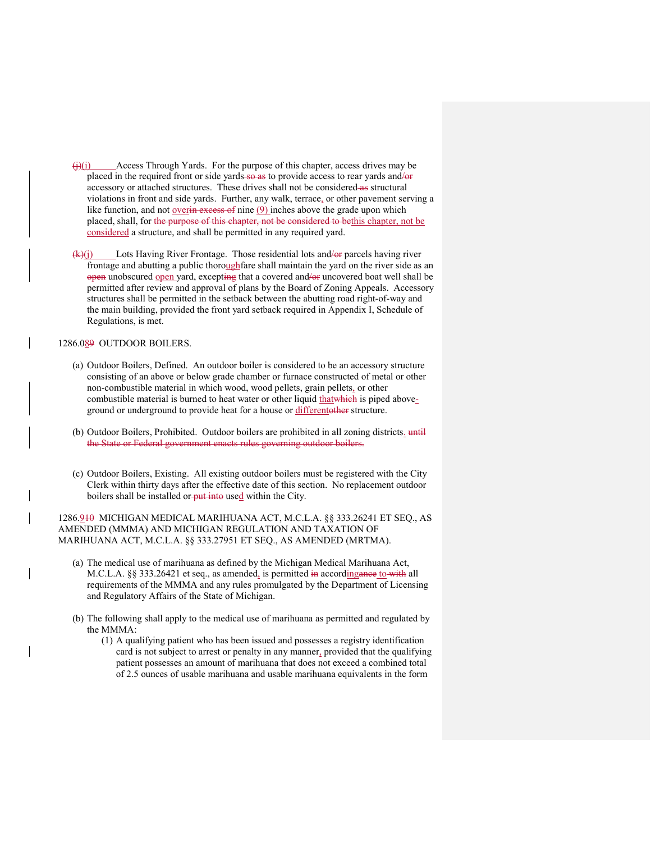- $\overline{(i)}$  Access Through Yards. For the purpose of this chapter, access drives may be placed in the required front or side yards so as to provide access to rear yards and/or accessory or attached structures. These drives shall not be considered as structural violations in front and side yards. Further, any walk, terrace, or other pavement serving a like function, and not overin excess of nine  $(9)$  inches above the grade upon which placed, shall, for the purpose of this chapter, not be considered to bethis chapter, not be considered a structure, and shall be permitted in any required yard.
- $(k)(j)$  Lots Having River Frontage. Those residential lots and/or parcels having river frontage and abutting a public thoroughfare shall maintain the yard on the river side as an open unobscured open yard, excepting that a covered and/or uncovered boat well shall be permitted after review and approval of plans by the Board of Zoning Appeals. Accessory structures shall be permitted in the setback between the abutting road right-of-way and the main building, provided the front yard setback required in Appendix I, Schedule of Regulations, is met.

## 1286.089 OUTDOOR BOILERS.

- (a) Outdoor Boilers, Defined. An outdoor boiler is considered to be an accessory structure consisting of an above or below grade chamber or furnace constructed of metal or other non-combustible material in which wood, wood pellets, grain pellets, or other combustible material is burned to heat water or other liquid that which is piped aboveground or underground to provide heat for a house or differentother structure.
- (b) Outdoor Boilers, Prohibited. Outdoor boilers are prohibited in all zoning districts. until the State or Federal government enacts rules governing outdoor boilers.
- (c) Outdoor Boilers, Existing. All existing outdoor boilers must be registered with the City Clerk within thirty days after the effective date of this section. No replacement outdoor boilers shall be installed or put into used within the City.

1286.910 MICHIGAN MEDICAL MARIHUANA ACT, M.C.L.A. §§ 333.26241 ET SEQ., AS AMENDED (MMMA) AND MICHIGAN REGULATION AND TAXATION OF MARIHUANA ACT, M.C.L.A. §§ 333.27951 ET SEQ., AS AMENDED (MRTMA).

- (a) The medical use of marihuana as defined by the Michigan Medical Marihuana Act, M.C.L.A. §§ 333.26421 et seq., as amended, is permitted in accordingance to with all requirements of the MMMA and any rules promulgated by the Department of Licensing and Regulatory Affairs of the State of Michigan.
- (b) The following shall apply to the medical use of marihuana as permitted and regulated by the MMMA:
	- (1) A qualifying patient who has been issued and possesses a registry identification card is not subject to arrest or penalty in any manner, provided that the qualifying patient possesses an amount of marihuana that does not exceed a combined total of 2.5 ounces of usable marihuana and usable marihuana equivalents in the form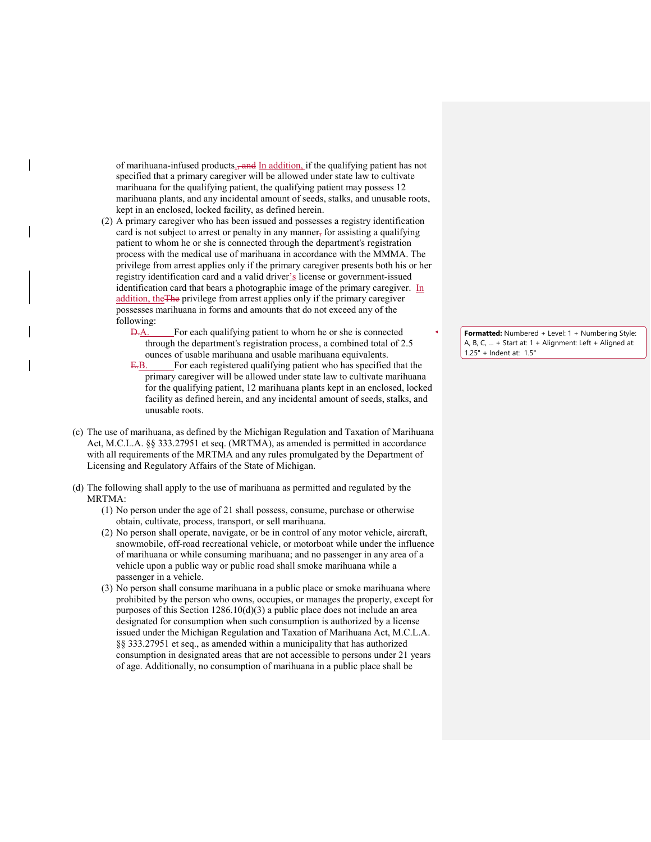of marihuana-infused products.<del>, and</del> In addition, if the qualifying patient has not specified that a primary caregiver will be allowed under state law to cultivate marihuana for the qualifying patient, the qualifying patient may possess 12 marihuana plants, and any incidental amount of seeds, stalks, and unusable roots, kept in an enclosed, locked facility, as defined herein.

- (2) A primary caregiver who has been issued and possesses a registry identification card is not subject to arrest or penalty in any manner, for assisting a qualifying patient to whom he or she is connected through the department's registration process with the medical use of marihuana in accordance with the MMMA. The privilege from arrest applies only if the primary caregiver presents both his or her registry identification card and a valid driver's license or government-issued identification card that bears a photographic image of the primary caregiver. In addition, theThe privilege from arrest applies only if the primary caregiver possesses marihuana in forms and amounts that do not exceed any of the following:
	- D.A. For each qualifying patient to whom he or she is connected through the department's registration process, a combined total of 2.5 ounces of usable marihuana and usable marihuana equivalents.
	- E.B. For each registered qualifying patient who has specified that the primary caregiver will be allowed under state law to cultivate marihuana for the qualifying patient, 12 marihuana plants kept in an enclosed, locked facility as defined herein, and any incidental amount of seeds, stalks, and unusable roots.
- (c) The use of marihuana, as defined by the Michigan Regulation and Taxation of Marihuana Act, M.C.L.A. §§ 333.27951 et seq. (MRTMA), as amended is permitted in accordance with all requirements of the MRTMA and any rules promulgated by the Department of Licensing and Regulatory Affairs of the State of Michigan.
- (d) The following shall apply to the use of marihuana as permitted and regulated by the MRTMA:
	- (1) No person under the age of 21 shall possess, consume, purchase or otherwise obtain, cultivate, process, transport, or sell marihuana.
	- (2) No person shall operate, navigate, or be in control of any motor vehicle, aircraft, snowmobile, off-road recreational vehicle, or motorboat while under the influence of marihuana or while consuming marihuana; and no passenger in any area of a vehicle upon a public way or public road shall smoke marihuana while a passenger in a vehicle.
	- (3) No person shall consume marihuana in a public place or smoke marihuana where prohibited by the person who owns, occupies, or manages the property, except for purposes of this Section 1286.10(d)(3) a public place does not include an area designated for consumption when such consumption is authorized by a license issued under the Michigan Regulation and Taxation of Marihuana Act, M.C.L.A. §§ 333.27951 et seq., as amended within a municipality that has authorized consumption in designated areas that are not accessible to persons under 21 years of age. Additionally, no consumption of marihuana in a public place shall be

**Formatted:** Numbered + Level: 1 + Numbering Style: A, B, C, … + Start at: 1 + Alignment: Left + Aligned at: 1.25" + Indent at: 1.5"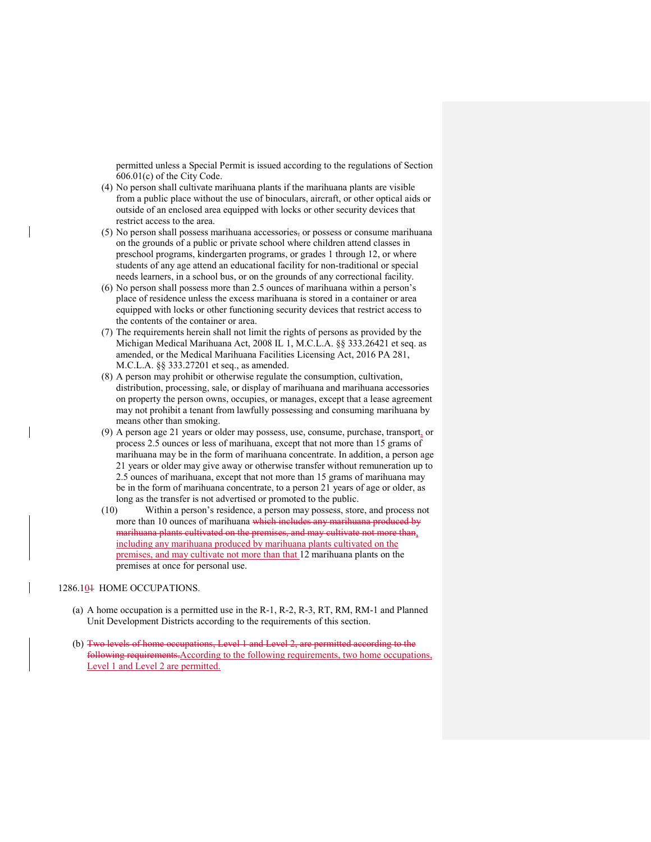permitted unless a Special Permit is issued according to the regulations of Section 606.01(c) of the City Code.

- (4) No person shall cultivate marihuana plants if the marihuana plants are visible from a public place without the use of binoculars, aircraft, or other optical aids or outside of an enclosed area equipped with locks or other security devices that restrict access to the area.
- (5) No person shall possess marihuana accessories, or possess or consume marihuana on the grounds of a public or private school where children attend classes in preschool programs, kindergarten programs, or grades 1 through 12, or where students of any age attend an educational facility for non-traditional or special needs learners, in a school bus, or on the grounds of any correctional facility.
- (6) No person shall possess more than 2.5 ounces of marihuana within a person's place of residence unless the excess marihuana is stored in a container or area equipped with locks or other functioning security devices that restrict access to the contents of the container or area.
- (7) The requirements herein shall not limit the rights of persons as provided by the Michigan Medical Marihuana Act, 2008 IL 1, M.C.L.A. §§ 333.26421 et seq. as amended, or the Medical Marihuana Facilities Licensing Act, 2016 PA 281, M.C.L.A. §§ 333.27201 et seq., as amended.
- (8) A person may prohibit or otherwise regulate the consumption, cultivation, distribution, processing, sale, or display of marihuana and marihuana accessories on property the person owns, occupies, or manages, except that a lease agreement may not prohibit a tenant from lawfully possessing and consuming marihuana by means other than smoking.
- (9) A person age 21 years or older may possess, use, consume, purchase, transport, or process 2.5 ounces or less of marihuana, except that not more than 15 grams of marihuana may be in the form of marihuana concentrate. In addition, a person age 21 years or older may give away or otherwise transfer without remuneration up to 2.5 ounces of marihuana, except that not more than 15 grams of marihuana may be in the form of marihuana concentrate, to a person 21 years of age or older, as long as the transfer is not advertised or promoted to the public.
- (10) Within a person's residence, a person may possess, store, and process not more than 10 ounces of marihuana which includes any marihuana produced by marihuana plants cultivated on the premises, and may cultivate not more than, including any marihuana produced by marihuana plants cultivated on the premises, and may cultivate not more than that 12 marihuana plants on the premises at once for personal use.

## 1286.10<sup>1</sup> HOME OCCUPATIONS.

- (a) A home occupation is a permitted use in the R-1, R-2, R-3, RT, RM, RM-1 and Planned Unit Development Districts according to the requirements of this section.
- (b) Two levels of home occupations, Level 1 and Level 2, are permitted according to the following requirements.According to the following requirements, two home occupations, Level 1 and Level 2 are permitted.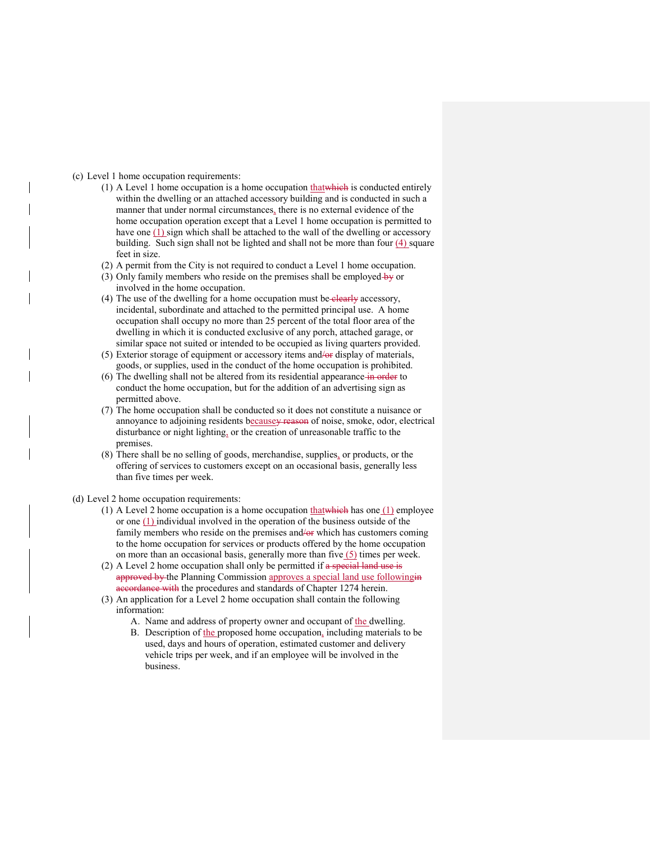#### (c) Level 1 home occupation requirements:

- (1) A Level 1 home occupation is a home occupation  $\underline{that}$  which is conducted entirely within the dwelling or an attached accessory building and is conducted in such a manner that under normal circumstances, there is no external evidence of the home occupation operation except that a Level 1 home occupation is permitted to have one  $(1)$  sign which shall be attached to the wall of the dwelling or accessory building. Such sign shall not be lighted and shall not be more than four (4) square feet in size.
- (2) A permit from the City is not required to conduct a Level 1 home occupation.
- (3) Only family members who reside on the premises shall be employed  $\frac{1}{2}$  or involved in the home occupation.
- (4) The use of the dwelling for a home occupation must be-elearly accessory, incidental, subordinate and attached to the permitted principal use. A home occupation shall occupy no more than 25 percent of the total floor area of the dwelling in which it is conducted exclusive of any porch, attached garage, or similar space not suited or intended to be occupied as living quarters provided.
- (5) Exterior storage of equipment or accessory items and/or display of materials, goods, or supplies, used in the conduct of the home occupation is prohibited.
- (6) The dwelling shall not be altered from its residential appearance in order to conduct the home occupation, but for the addition of an advertising sign as permitted above.
- (7) The home occupation shall be conducted so it does not constitute a nuisance or annoyance to adjoining residents becausey reason of noise, smoke, odor, electrical disturbance or night lighting, or the creation of unreasonable traffic to the premises.
- (8) There shall be no selling of goods, merchandise, supplies, or products, or the offering of services to customers except on an occasional basis, generally less than five times per week.

(d) Level 2 home occupation requirements:

- (1) A Level 2 home occupation is a home occupation that which has one (1) employee or one (1) individual involved in the operation of the business outside of the family members who reside on the premises and/or which has customers coming to the home occupation for services or products offered by the home occupation on more than an occasional basis, generally more than five  $(5)$  times per week.
- (2) A Level 2 home occupation shall only be permitted if a special land use is approved by the Planning Commission approves a special land use followingin accordance with the procedures and standards of Chapter 1274 herein.
- (3) An application for a Level 2 home occupation shall contain the following information:
	- A. Name and address of property owner and occupant of the dwelling.
	- B. Description of the proposed home occupation, including materials to be used, days and hours of operation, estimated customer and delivery vehicle trips per week, and if an employee will be involved in the business.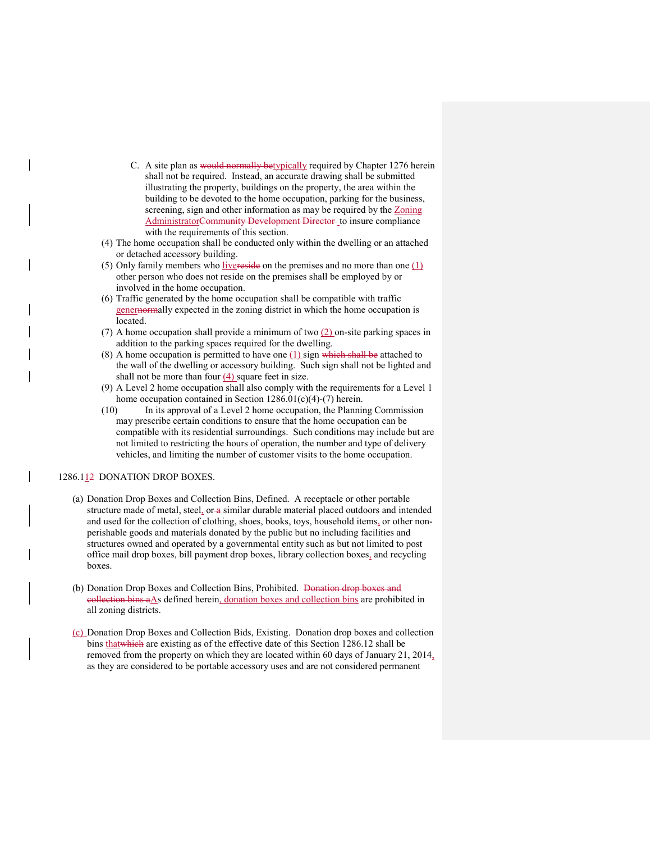- C. A site plan as would normally betypically required by Chapter 1276 herein shall not be required. Instead, an accurate drawing shall be submitted illustrating the property, buildings on the property, the area within the building to be devoted to the home occupation, parking for the business, screening, sign and other information as may be required by the Zoning AdministratorCommunity Development Director to insure compliance with the requirements of this section.
- (4) The home occupation shall be conducted only within the dwelling or an attached or detached accessory building.
- (5) Only family members who livereside on the premises and no more than one  $(1)$ other person who does not reside on the premises shall be employed by or involved in the home occupation.
- (6) Traffic generated by the home occupation shall be compatible with traffic genernormally expected in the zoning district in which the home occupation is located.
- (7) A home occupation shall provide a minimum of two  $(2)$  on-site parking spaces in addition to the parking spaces required for the dwelling.
- (8) A home occupation is permitted to have one  $(1)$  sign which shall be attached to the wall of the dwelling or accessory building. Such sign shall not be lighted and shall not be more than four (4) square feet in size.
- (9) A Level 2 home occupation shall also comply with the requirements for a Level 1 home occupation contained in Section 1286.01(c)(4)-(7) herein.
- (10) In its approval of a Level 2 home occupation, the Planning Commission may prescribe certain conditions to ensure that the home occupation can be compatible with its residential surroundings. Such conditions may include but are not limited to restricting the hours of operation, the number and type of delivery vehicles, and limiting the number of customer visits to the home occupation.

#### 1286.112 DONATION DROP BOXES.

- (a) Donation Drop Boxes and Collection Bins, Defined. A receptacle or other portable structure made of metal, steel, or a similar durable material placed outdoors and intended and used for the collection of clothing, shoes, books, toys, household items, or other nonperishable goods and materials donated by the public but no including facilities and structures owned and operated by a governmental entity such as but not limited to post office mail drop boxes, bill payment drop boxes, library collection boxes, and recycling boxes.
- (b) Donation Drop Boxes and Collection Bins, Prohibited. Donation drop boxes and eollection bins aAs defined herein, donation boxes and collection bins are prohibited in all zoning districts.
- (c) Donation Drop Boxes and Collection Bids, Existing. Donation drop boxes and collection bins thatwhich are existing as of the effective date of this Section 1286.12 shall be removed from the property on which they are located within 60 days of January 21, 2014, as they are considered to be portable accessory uses and are not considered permanent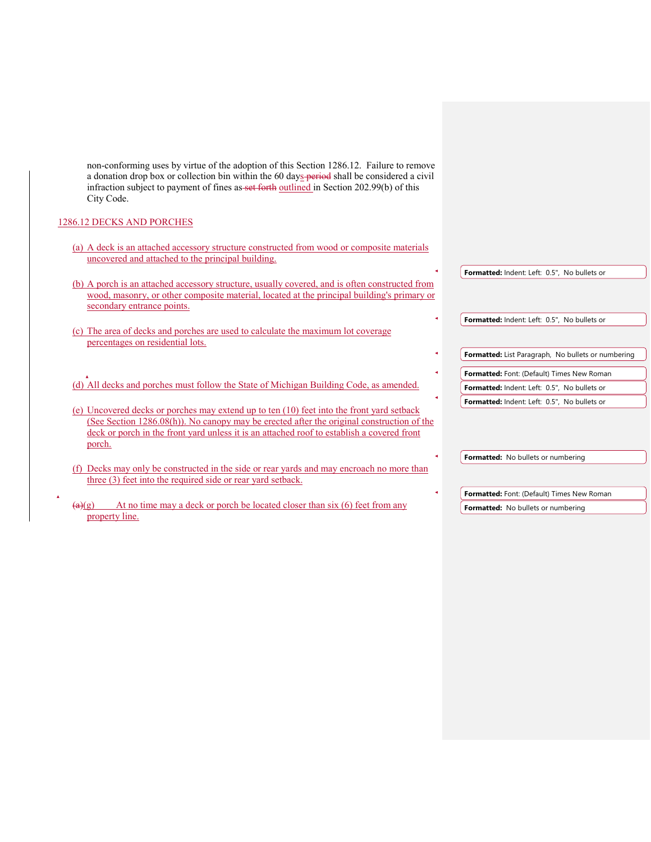non-conforming uses by virtue of the adoption of this Section 1286.12. Failure to remove a donation drop box or collection bin within the 60 days period shall be considered a civil infraction subject to payment of fines as set forth outlined in Section 202.99(b) of this City Code.

# 1286.12 DECKS AND PORCHES

| (a) A deck is an attached accessory structure constructed from wood or composite materials<br>uncovered and attached to the principal building.                                                                            |  |                                                    |
|----------------------------------------------------------------------------------------------------------------------------------------------------------------------------------------------------------------------------|--|----------------------------------------------------|
|                                                                                                                                                                                                                            |  | Formatted: Indent: Left: 0.5", No bullets or       |
| (b) A porch is an attached accessory structure, usually covered, and is often constructed from<br>wood, masonry, or other composite material, located at the principal building's primary or<br>secondary entrance points. |  |                                                    |
|                                                                                                                                                                                                                            |  | Formatted: Indent: Left: 0.5", No bullets or       |
| (c) The area of decks and porches are used to calculate the maximum lot coverage<br>percentages on residential lots.                                                                                                       |  |                                                    |
|                                                                                                                                                                                                                            |  | Formatted: List Paragraph, No bullets or numbering |
|                                                                                                                                                                                                                            |  | Formatted: Font: (Default) Times New Roman         |
| (d) All decks and porches must follow the State of Michigan Building Code, as amended.                                                                                                                                     |  | Formatted: Indent: Left: 0.5", No bullets or       |
| (e) Uncovered decks or porches may extend up to ten (10) feet into the front yard setback<br>(See Section 1286.08(h)). No canopy may be erected after the original construction of the                                     |  | Formatted: Indent: Left: 0.5". No bullets or       |
| deck or porch in the front yard unless it is an attached roof to establish a covered front<br>porch.                                                                                                                       |  |                                                    |
| Decks may only be constructed in the side or rear yards and may encroach no more than<br>(f)<br>three (3) feet into the required side or rear yard setback.                                                                |  | Formatted: No bullets or numbering                 |
|                                                                                                                                                                                                                            |  | Formatted: Font: (Default) Times New Roman         |
| At no time may a deck or porch be located closer than $s$ ix $(6)$ feet from any<br>$\left(\alpha\right)(g)$<br>property line.                                                                                             |  | Formatted: No bullets or numbering                 |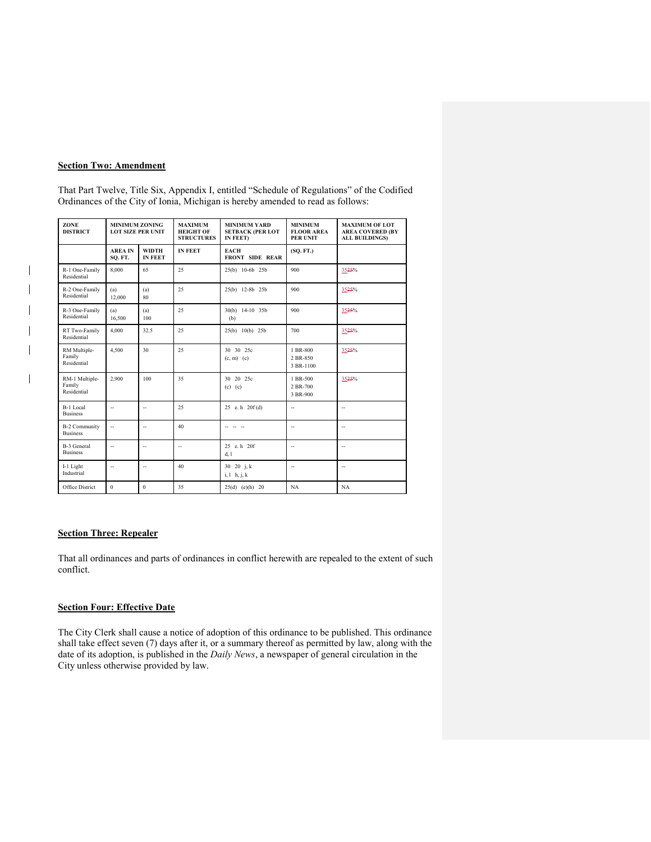# **Section Two: Amendment**

 $\overline{\phantom{a}}$  $\overline{\phantom{a}}$ 

 $\overline{\phantom{a}}$ 

That Part Twelve, Title Six, Appendix I, entitled "Schedule of Regulations" of the Codified Ordinances of the City of Ionia, Michigan is hereby amended to read as follows:

| ZONE<br><b>DISTRICT</b>                 | <b>MINIMUM ZONING</b><br><b>LOT SIZE PER UNIT</b> |                                | <b>MAXIMUM</b><br><b>HEIGHT OF</b><br><b>STRUCTURES</b> | <b>MINIMUM YARD</b><br><b>SETBACK (PER LOT</b><br>IN FEET) | <b>MINIMUM</b><br><b>FLOOR AREA</b><br><b>PER UNIT</b> | <b>MAXIMUM OF LOT</b><br><b>AREA COVERED (BY)</b><br><b>ALL BUILDINGS)</b> |
|-----------------------------------------|---------------------------------------------------|--------------------------------|---------------------------------------------------------|------------------------------------------------------------|--------------------------------------------------------|----------------------------------------------------------------------------|
|                                         | <b>AREA IN</b><br>SO. FT.                         | <b>WIDTH</b><br><b>IN FEET</b> | <b>IN FEET</b>                                          | <b>EACH</b><br><b>FRONT SIDE REAR</b>                      | (SO. FT.)                                              |                                                                            |
| R-1 One-Family<br>Residential           | 8,000                                             | 65                             | 25                                                      | 25(b) 10-6b 25b                                            | 900                                                    | 3525%                                                                      |
| R-2 One-Family<br>Residential           | (a)<br>12,000                                     | (a)<br>80                      | 25                                                      | 25(b) 12-8b 25b                                            | 900                                                    | 3525%                                                                      |
| R-3 One-Family<br>Residential           | (a)<br>16,500                                     | (a)<br>100                     | 25                                                      | 30(b) 14-10 35b<br>(b)                                     | 900                                                    | 3525%                                                                      |
| RT Two-Family<br>Residential            | 4,000                                             | 32.5                           | 25                                                      | 25(b) 10(b) 25b                                            | 700                                                    | 3525%                                                                      |
| RM Multiple-<br>Family<br>Residential   | 4.500                                             | 30                             | 25                                                      | 30 30 25c<br>$(c, m)$ $(c)$                                | 1 BR-800<br>2 BR-850<br>3 BR-1100                      | 3525%                                                                      |
| RM-1 Multiple-<br>Family<br>Residential | 2,900                                             | 100                            | 35                                                      | 30 20 25c<br>$(c)$ $(c)$                                   | 1 BR-500<br>2 BR-700<br>3 BR-900                       | 3525%                                                                      |
| B-1 Local<br><b>Business</b>            | $\overline{\phantom{a}}$                          | u.                             | 25                                                      | 25 e. h $20f(d)$                                           | $\overline{\phantom{a}}$                               | $\overline{\phantom{a}}$                                                   |
| <b>B-2 Community</b><br><b>Business</b> | ÷.                                                | u.                             | 40                                                      |                                                            | $\overline{\phantom{a}}$                               | $\overline{\phantom{a}}$                                                   |
| B-3 General<br><b>Business</b>          | Ξ.                                                | $\overline{a}$                 | $\overline{\phantom{a}}$                                | 25 e.h 20f<br>d, l                                         | $\overline{\phantom{a}}$                               | ۰.                                                                         |
| I-1 Light<br>Industrial                 | $\overline{\phantom{a}}$                          | u.                             | 40                                                      | 30 20 $i, k$<br>$i, l$ h, $j, k$                           | $\overline{\phantom{a}}$                               | $\sim$                                                                     |
| Office District                         | $\Omega$                                          | $\theta$                       | 35                                                      | $25(d)$ (e)(h) 20                                          | NA                                                     | NA                                                                         |

# **Section Three: Repealer**

That all ordinances and parts of ordinances in conflict herewith are repealed to the extent of such conflict.

# **Section Four: Effective Date**

The City Clerk shall cause a notice of adoption of this ordinance to be published. This ordinance shall take effect seven (7) days after it, or a summary thereof as permitted by law, along with the date of its adoption, is published in the *Daily News*, a newspaper of general circulation in the City unless otherwise provided by law.